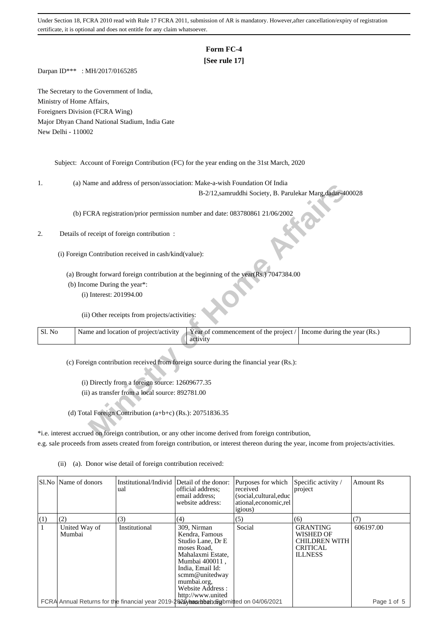# **Form FC-4**

## **[See rule 17]**

Darpan ID\*\*\* : MH/2017/0165285

The Secretary to the Government of India, Ministry of Home Affairs, Foreigners Division (FCRA Wing) Major Dhyan Chand National Stadium, India Gate New Delhi - 110002

Subject: Account of Foreign Contribution (FC) for the year ending on the 31st March, 2020

1. (a) Name and address of person/association: Make-a-wish Foundation Of India

## 2. Details of receipt of foreign contribution :

| ı.     | (a) IValue and address of person/association. Make-a-wish Foundation Of India                                  |
|--------|----------------------------------------------------------------------------------------------------------------|
|        | B-2/12, samruddhi Society, B. Parulekar Marg, dadar-400028                                                     |
|        |                                                                                                                |
|        | (b) FCRA registration/prior permission number and date: 083780861 21/06/2002                                   |
|        |                                                                                                                |
| 2.     | Details of receipt of foreign contribution :                                                                   |
|        |                                                                                                                |
|        |                                                                                                                |
|        | (i) Foreign Contribution received in cash/kind(value):                                                         |
|        |                                                                                                                |
|        | (a) Brought forward foreign contribution at the beginning of the year(Rs.) 7047384.00                          |
|        | (b) Income During the year*:                                                                                   |
|        | (i) Interest: 201994.00                                                                                        |
|        |                                                                                                                |
|        | (ii) Other receipts from projects/activities:                                                                  |
|        |                                                                                                                |
| Sl. No | Name and location of project/activity<br>Year of commencement of the project /<br>Income during the year (Rs.) |
|        | activity                                                                                                       |
|        |                                                                                                                |
|        | (c) Foreign contribution received from foreign source during the financial year (Rs.):                         |
|        |                                                                                                                |
|        |                                                                                                                |
|        | (i) Directly from a foreign source: 12609677.35                                                                |
|        | (ii) as transfer from a local source: 892781.00                                                                |
|        |                                                                                                                |
|        | (d) Total Foreign Contribution (a+b+c) (Rs.): $20751836.35$                                                    |
|        |                                                                                                                |
|        | *i.e. interest accrued on foreign contribution, or any other income derived from foreign contribution,         |
|        |                                                                                                                |

\*i.e. interest accrued on foreign contribution, or any other income derived from foreign contribution, e.g. sale proceeds from assets created from foreign contribution, or interest thereon during the year, income from projects/activities.

|     | Sl.No   Name of donors  | Institutional/Individ<br>ual                                                          | Detail of the donor:<br>official address;<br>email address:<br>website address:                                                                                                                        | Purposes for which<br>received<br>(social, cultural, educ<br>ational, economic, rel<br><i>igious</i> ) | Specific activity /<br>project                                                            | <b>Amount Rs</b> |
|-----|-------------------------|---------------------------------------------------------------------------------------|--------------------------------------------------------------------------------------------------------------------------------------------------------------------------------------------------------|--------------------------------------------------------------------------------------------------------|-------------------------------------------------------------------------------------------|------------------|
| (1) | (2)                     | (3)                                                                                   | (4)                                                                                                                                                                                                    | (5)                                                                                                    | (6)                                                                                       | [7]              |
|     | United Way of<br>Mumbai | Institutional                                                                         | 309, Nirman<br>Kendra, Famous<br>Studio Lane, Dr E<br>moses Road.<br>Mahalaxmi Estate,<br>Mumbai 400011,<br>India, Email Id:<br>scmm@unitedway<br>mumbai.org.<br>Website Address:<br>http://www.united | Social                                                                                                 | <b>GRANTING</b><br>WISHED OF<br><b>CHILDREN WITH</b><br><b>CRITICAL</b><br><b>ILLNESS</b> | 606197.00        |
|     |                         | FCRA Annual Returns for the financial year 2019-2020 mashbanobylomitted on 04/06/2021 |                                                                                                                                                                                                        |                                                                                                        |                                                                                           | Page 1 of 5      |

(ii) (a). Donor wise detail of foreign contribution received: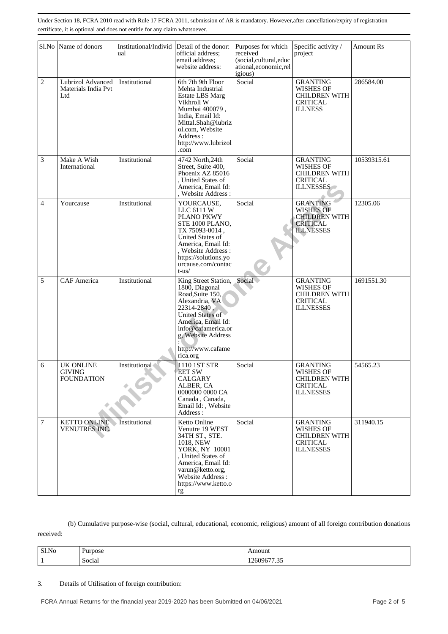|                | Sl.No Name of donors                            | Institutional/Individ<br>ual | Detail of the donor:<br>official address;<br>email address;<br>website address:                                                                                                                                    | Purposes for which<br>received<br>(social,cultural,educ<br>ational, economic, rel<br>igious) | Specific activity /<br>project                                                                     | <b>Amount Rs</b> |
|----------------|-------------------------------------------------|------------------------------|--------------------------------------------------------------------------------------------------------------------------------------------------------------------------------------------------------------------|----------------------------------------------------------------------------------------------|----------------------------------------------------------------------------------------------------|------------------|
| $\overline{2}$ | Lubrizol Advanced<br>Materials India Pvt<br>Ltd | Institutional                | 6th 7th 9th Floor<br>Mehta Industrial<br><b>Estate LBS Marg</b><br>Vikhroli W<br>Mumbai 400079,<br>India, Email Id:<br>Mittal.Shah@lubriz<br>ol.com, Website<br>Address :<br>http://www.lubrizol<br>.com           | Social                                                                                       | <b>GRANTING</b><br>WISHES OF<br><b>CHILDREN WITH</b><br><b>CRITICAL</b><br><b>ILLNESS</b>          | 286584.00        |
| 3              | Make A Wish<br>International                    | Institutional                | 4742 North, 24th<br>Street, Suite 400,<br>Phoenix AZ 85016<br>, United States of<br>America, Email Id:<br>, Website Address:                                                                                       | Social                                                                                       | <b>GRANTING</b><br><b>WISHES OF</b><br><b>CHILDREN WITH</b><br><b>CRITICAL</b><br><b>ILLNESSES</b> | 10539315.61      |
| $\overline{4}$ | Yourcause                                       | Institutional                | YOURCAUSE,<br>LLC 6111 W<br>PLANO PKWY<br>STE 1000 PLANO,<br>TX 75093-0014,<br>United States of<br>America, Email Id:<br>, Website Address:<br>https://solutions.yo<br>urcause.com/contac<br>$t$ -us $/$           | Social                                                                                       | <b>GRANTING</b><br><b>WISHES OF</b><br><b>CHILDREN WITH</b><br><b>CRITICAL</b><br><b>ILLNESSES</b> | 12305.06         |
| 5              | <b>CAF</b> America                              | Institutional                | King Street Station,<br>1800, Diagonal<br>Road, Suite 150,<br>Alexandria, VA<br>22314-2840,<br>United States of<br>America, Email Id:<br>info@cafamerica.or<br>g, Website Address<br>http://www.cafame<br>rica.org | Social                                                                                       | <b>GRANTING</b><br>WISHES OF<br><b>CHILDREN WITH</b><br><b>CRITICAL</b><br><b>ILLNESSES</b>        | 1691551.30       |
| 6              | <b>UK ONLINE</b><br>GIVING<br><b>FOUNDATION</b> | Institutional                | 1110 1ST STR<br><b>EET SW</b><br>CALGARY<br>ALBER, CA<br>0000000 0000 CA<br>Canada, Canada,<br>Email Id:, Website<br>Address:                                                                                      | Social                                                                                       | <b>GRANTING</b><br>WISHES OF<br><b>CHILDREN WITH</b><br><b>CRITICAL</b><br><b>ILLNESSES</b>        | 54565.23         |
| $\overline{7}$ | <b>KETTO ONLINE</b><br>VENUTRES INC.            | Institutional                | Ketto Online<br>Venutre 19 WEST<br>34TH ST., STE.<br>1018, NEW<br>YORK, NY 10001<br>, United States of<br>America, Email Id:<br>varun@ketto.org,<br>Website Address:<br>https://www.ketto.o<br>rg                  | Social                                                                                       | <b>GRANTING</b><br><b>WISHES OF</b><br><b>CHILDREN WITH</b><br><b>CRITICAL</b><br><b>ILLNESSES</b> | 311940.15        |

 (b) Cumulative purpose-wise (social, cultural, educational, economic, religious) amount of all foreign contribution donations received:

| $\sim$<br>SI.No | $\mathbf{\bar{}}$<br>urpose | Amount                |
|-----------------|-----------------------------|-----------------------|
|                 | ∼<br>$\cdot$<br>Social      | 70 I<br>1400<br>ن ب ر |

## 3. Details of Utilisation of foreign contribution: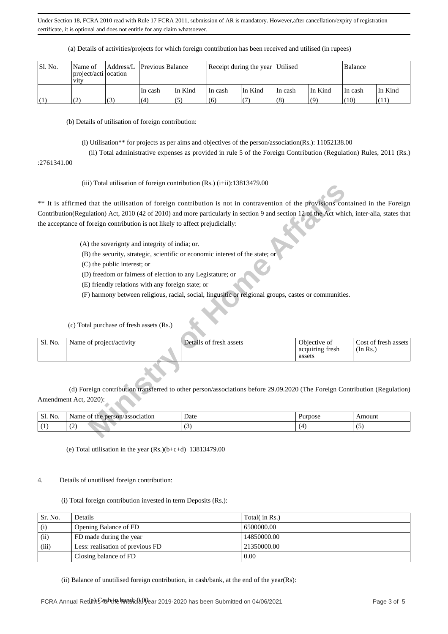(a) Details of activities/projects for which foreign contribution has been received and utilised (in rupees)

| Sl. No. | Name of<br>project/acti ocation<br><b>V1tV</b> |               |         | Address/L Previous Balance |         | Receipt during the year Utilised |         |         |          | Balance |  |
|---------|------------------------------------------------|---------------|---------|----------------------------|---------|----------------------------------|---------|---------|----------|---------|--|
|         |                                                |               | In cash | In Kind                    | In cash | In Kind                          | In cash | In Kind | ∣In cash | In Kind |  |
| (1)     | (2)                                            | $\mathcal{L}$ | (4)     | (5)                        | (6)     |                                  | (8)     | (9)     | (10)     | (11)    |  |

(b) Details of utilisation of foreign contribution:

(i) Utilisation\*\* for projects as per aims and objectives of the person/association(Rs.): 11052138.00

(ii) Total administrative expenses as provided in rule 5 of the Foreign Contribution (Regulation) Rules, 2011 (Rs.)

:2761341.00

(iii) Total utilisation of foreign contribution (Rs.) (i+ii):13813479.00

|         |                                                                                                                                             | (III) Total utilisation of foreign contribution (KS.) $(1\pm 11)$ . 19619479.00                                            |                 |                      |
|---------|---------------------------------------------------------------------------------------------------------------------------------------------|----------------------------------------------------------------------------------------------------------------------------|-----------------|----------------------|
|         | ** It is affirmed that the utilisation of foreign contribution is not in contravention of the provisions contained in the Foreign           |                                                                                                                            |                 |                      |
|         |                                                                                                                                             |                                                                                                                            |                 |                      |
|         | Contribution(Regulation) Act, 2010 (42 of 2010) and more particularly in section 9 and section 12 of the Act which, inter-alia, states that |                                                                                                                            |                 |                      |
|         | the acceptance of foreign contribution is not likely to affect prejudicially:                                                               |                                                                                                                            |                 |                      |
|         | (A) the soverignty and integrity of india; or.                                                                                              |                                                                                                                            |                 |                      |
|         |                                                                                                                                             | (B) the security, strategic, scientific or economic interest of the state; or                                              |                 |                      |
|         | (C) the public interest; or                                                                                                                 |                                                                                                                            |                 |                      |
|         | (D) freedom or fairness of election to any Legistature; or                                                                                  |                                                                                                                            |                 |                      |
|         | (E) friendly relations with any foreign state; or                                                                                           |                                                                                                                            |                 |                      |
|         |                                                                                                                                             | (F) harmony between religious, racial, social, lingusitic or relgional groups, castes or communities.                      |                 |                      |
|         |                                                                                                                                             |                                                                                                                            |                 |                      |
|         |                                                                                                                                             |                                                                                                                            |                 |                      |
|         | (c) Total purchase of fresh assets (Rs.)                                                                                                    |                                                                                                                            |                 |                      |
|         |                                                                                                                                             |                                                                                                                            |                 |                      |
| Sl. No. | Name of project/activity                                                                                                                    | Details of fresh assets                                                                                                    | Objective of    | Cost of fresh assets |
|         |                                                                                                                                             |                                                                                                                            | acquiring fresh | (In Rs.)             |
|         |                                                                                                                                             |                                                                                                                            | assets          |                      |
|         |                                                                                                                                             |                                                                                                                            |                 |                      |
|         |                                                                                                                                             | (d) Foreign contribution transferred to other person/associations before 29.09.2020 (The Foreign Contribution (Regulation) |                 |                      |
|         | Amendment Act, 2020):                                                                                                                       |                                                                                                                            |                 |                      |
|         |                                                                                                                                             |                                                                                                                            |                 |                      |
| Sl. No. | Name of the person/association                                                                                                              | Date                                                                                                                       | Purpose         | Amount               |
| (1)     | (2)                                                                                                                                         | (3)                                                                                                                        | (4)             | (5)                  |
|         |                                                                                                                                             |                                                                                                                            |                 |                      |

| $\sim$<br>C1<br>No.<br>ЮL. | /association<br>person<br>√ame<br>me<br>,,,, | Date | Purpose | Amount |
|----------------------------|----------------------------------------------|------|---------|--------|
|                            | $\sim$<br>. <u>. .</u>                       |      |         | . .    |

(e) Total utilisation in the year (Rs.)(b+c+d) 13813479.00

#### 4. Details of unutilised foreign contribution:

(i) Total foreign contribution invested in term Deposits (Rs.):

| Sr. No. | Details                          | Total( in Rs.) |
|---------|----------------------------------|----------------|
| (i)     | Opening Balance of FD            | 6500000.00     |
| (ii)    | FD made during the year          | 14850000.00    |
| (iii)   | Less: realisation of previous FD | 21350000.00    |
|         | Closing balance of FD            | 0.00           |

(ii) Balance of unutilised foreign contribution, in cash/bank, at the end of the year(Rs):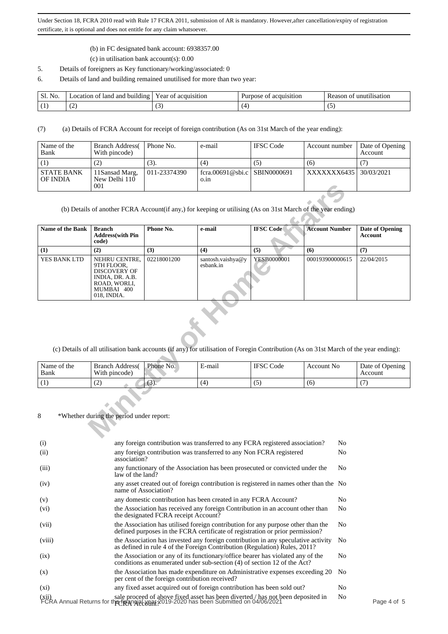- (b) in FC designated bank account: 6938357.00
- (c) in utilisation bank account(s): 0.00
- 5. Details of foreigners as Key functionary/working/associated: 0
- 6. Details of land and building remained unutilised for more than two year:

| Sl.<br>N <sub>0</sub> | ∟ocation of land and building ' | acquisition<br>Year of | acquisition<br>Purpose<br>OL | unutilisation<br>Reason of |
|-----------------------|---------------------------------|------------------------|------------------------------|----------------------------|
|                       | . .                             | $\sim$                 |                              | . .                        |

(7) (a) Details of FCRA Account for receipt of foreign contribution (As on 31st March of the year ending):

| Name of the<br>Bank           | <b>Branch Address</b><br>With pincode) | Phone No.    | e-mail                               | <b>IFSC</b> Code | Account number | Date of Opening<br>Account |
|-------------------------------|----------------------------------------|--------------|--------------------------------------|------------------|----------------|----------------------------|
|                               | (2)                                    | (3).         | (4)                                  | (5)              | (6)            |                            |
| <b>STATE BANK</b><br>OF INDIA | 11Sansad Marg,<br>New Delhi 110<br>001 | 011-23374390 | fcra.00691@sbi.c SBIN0000691<br>0.1n |                  | XXXXXXX6435    | 30/03/2021                 |

|                     | 001                                                                                                                |             |                                                                                                                                                                        |                  |                       |                                          |
|---------------------|--------------------------------------------------------------------------------------------------------------------|-------------|------------------------------------------------------------------------------------------------------------------------------------------------------------------------|------------------|-----------------------|------------------------------------------|
|                     |                                                                                                                    |             | (b) Details of another FCRA Account(if any,) for keeping or utilising (As on 31st March of the year ending)                                                            |                  |                       |                                          |
| Name of the Bank    | <b>Branch</b><br><b>Address</b> (with Pin<br>code)                                                                 | Phone No.   | e-mail                                                                                                                                                                 | <b>IFSC Code</b> | <b>Account Number</b> | <b>Date of Opening</b><br><b>Account</b> |
| (1)                 | (2)                                                                                                                | (3)         | (4)                                                                                                                                                                    | (5)              | (6)                   | (7)                                      |
| YES BANK LTD        | NEHRU CENTRE,<br>9TH FLOOR,<br><b>DISCOVERY OF</b><br>INDIA, DR. A.B.<br>ROAD, WORLI,<br>MUMBAI 400<br>018, INDIA. | 02218001200 | santosh.vaishya@y<br>esbank.in<br>(c) Details of all utilisation bank accounts (if any) for utilisation of Foregin Contribution (As on 31st March of the year ending): | YESB0000001      | 000193900000615       | 22/04/2015                               |
|                     |                                                                                                                    |             |                                                                                                                                                                        |                  |                       |                                          |
| Name of the<br>Bank | <b>Branch Address</b><br>With pincode)                                                                             | Phone No.   | E-mail                                                                                                                                                                 | <b>IFSC</b> Code | <b>Account No</b>     | Date of Opening<br>Account               |
| (1)                 | (2)                                                                                                                | (3).        | (4)                                                                                                                                                                    | (5)              | (6)                   | (7)                                      |
| 8                   | *Whether during the period under report:                                                                           |             |                                                                                                                                                                        |                  |                       |                                          |

| Name of the<br>Bank | <b>Branch Address</b><br>With pincode) | Phone No. | $\blacksquare$<br>E-mail | <b>IFSC</b><br>Code | Account No. | Date of Opening<br>Account |
|---------------------|----------------------------------------|-----------|--------------------------|---------------------|-------------|----------------------------|
|                     | . <u>. .</u>                           | $\sim$    | (4)                      | ູ                   | (b          |                            |

| (i)               | any foreign contribution was transferred to any FCRA registered association?                                                                                                      | No.            |           |
|-------------------|-----------------------------------------------------------------------------------------------------------------------------------------------------------------------------------|----------------|-----------|
| (ii)              | any foreign contribution was transferred to any Non FCRA registered<br>association?                                                                                               | N <sub>0</sub> |           |
| (iii)             | any functionary of the Association has been prosecuted or convicted under the<br>law of the land?                                                                                 | No.            |           |
| (iv)              | any asset created out of foreign contribution is registered in names other than the No<br>name of Association?                                                                    |                |           |
| (v)               | any domestic contribution has been created in any FCRA Account?                                                                                                                   | No.            |           |
| (v <sub>i</sub> ) | the Association has received any foreign Contribution in an account other than<br>the designated FCRA receipt Account?                                                            | No.            |           |
| (vii)             | the Association has utilised foreign contribution for any purpose other than the<br>defined purposes in the FCRA certificate of registration or prior permission?                 | No.            |           |
| (viii)            | the Association has invested any foreign contribution in any speculative activity<br>as defined in rule 4 of the Foreign Contribution (Regulation) Rules, 2011?                   | N <sub>o</sub> |           |
| (ix)              | the Association or any of its functionary/office bearer has violated any of the<br>conditions as enumerated under sub-section (4) of section 12 of the Act?                       | No.            |           |
| (x)               | the Association has made expenditure on Administrative expenses exceeding 20<br>per cent of the foreign contribution received?                                                    | No.            |           |
| $(x_i)$           | any fixed asset acquired out of foreign contribution has been sold out?                                                                                                           | No             |           |
|                   | sale proceed of above fixed asset has been diverted / has not been deposited in FCRA Annual Returns for the the all proceed of above fixed asset has been Submitted on 04/06/2021 | N <sub>0</sub> | Page 4 of |
|                   |                                                                                                                                                                                   |                |           |